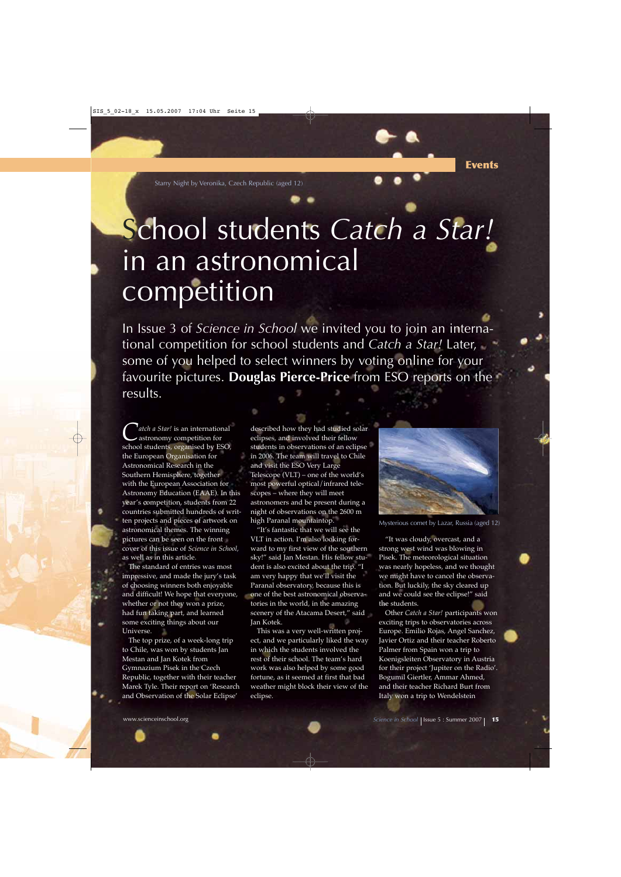Starry Night by Veronika, Czech Republic (aged 12)

## School students *Catch a Star!* in an astronomical competition

In Issue 3 of *Science in School* we invited you to join an international competition for school students and *Catch a Star!* Later, some of you helped to select winners by voting online for your favourite pictures. **Douglas Pierce-Price** from ESO reports on the results.

**C** *atch a Star!* is an international<br>astronomy competition for<br>cobool students examiced by ESO school students, organised by ESO, the European Organisation for Astronomical Research in the Southern Hemisphere, together with the European Association for Astronomy Education (EAAE). In this year's competition, students from 22 countries submitted hundreds of written projects and pieces of artwork on astronomical themes. The winning pictures can be seen on the front cover of this issue of *Science in School*, as well as in this article.

The standard of entries was most impressive, and made the jury's task of choosing winners both enjoyable and difficult! We hope that everyone, whether or not they won a prize, had fun taking part, and learned some exciting things about our Universe.

The top prize, of a week-long trip to Chile, was won by students Jan Mestan and Jan Kotek from Gymnazium Pisek in the Czech Republic, together with their teacher Marek Tyle. Their report on 'Research and Observation of the Solar Eclipse'

described how they had studied solar eclipses, and involved their fellow students in observations of an eclipse in 2006. The team will travel to Chile and visit the ESO Very Large Telescope (VLT) – one of the world's most powerful optical/infrared telescopes – where they will meet astronomers and be present during a night of observations on the 2600 m high Paranal mountaintop.

"It's fantastic that we will see the VLT in action. I'm also looking forward to my first view of the southern sky!" said Jan Mestan. His fellow student is also excited about the trip. "I am very happy that we'll visit the Paranal observatory, because this is one of the best astronomical observatories in the world, in the amazing scenery of the Atacama Desert," said Jan Kotek.

This was a very well-written project, and we particularly liked the way in which the students involved the rest of their school. The team's hard work was also helped by some good fortune, as it seemed at first that bad weather might block their view of the eclipse.



Mysterious comet by Lazar, Russia (aged 12)

"It was cloudy, overcast, and a strong west wind was blowing in Pisek. The meteorological situation was nearly hopeless, and we thought we might have to cancel the observation. But luckily, the sky cleared up and we could see the eclipse!" said the students.

Other *Catch a Star!* participants won exciting trips to observatories across Europe. Emilio Rojas, Angel Sanchez, Javier Ortiz and their teacher Roberto Palmer from Spain won a trip to Koenigsleiten Observatory in Austria for their project 'Jupiter on the Radio'. Bogumil Giertler, Ammar Ahmed, and their teacher Richard Burt from Italy won a trip to Wendelstein